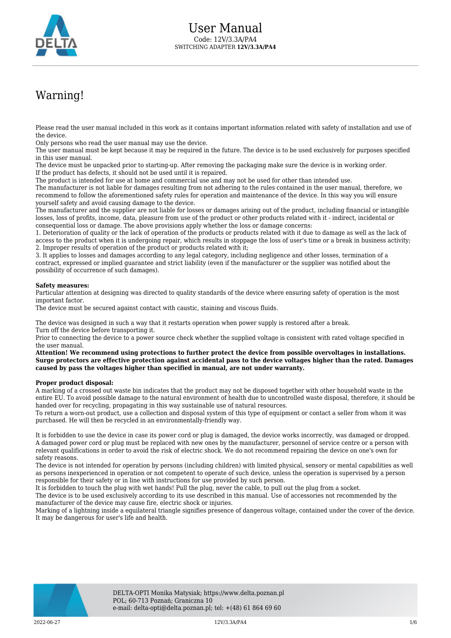

## Warning!

Please read the user manual included in this work as it contains important information related with safety of installation and use of the device.

Only persons who read the user manual may use the device.

The user manual must be kept because it may be required in the future. The device is to be used exclusively for purposes specified in this user manual.

The device must be unpacked prior to starting-up. After removing the packaging make sure the device is in working order. If the product has defects, it should not be used until it is repaired.

The product is intended for use at home and commercial use and may not be used for other than intended use.

The manufacturer is not liable for damages resulting from not adhering to the rules contained in the user manual, therefore, we recommend to follow the aforementioned safety rules for operation and maintenance of the device. In this way you will ensure yourself safety and avoid causing damage to the device.

The manufacturer and the supplier are not liable for losses or damages arising out of the product, including financial or intangible losses, loss of profits, income, data, pleasure from use of the product or other products related with it - indirect, incidental or consequential loss or damage. The above provisions apply whether the loss or damage concerns:

1. Deterioration of quality or the lack of operation of the products or products related with it due to damage as well as the lack of access to the product when it is undergoing repair, which results in stoppage the loss of user's time or a break in business activity; 2. Improper results of operation of the product or products related with it;

3. It applies to losses and damages according to any legal category, including negligence and other losses, termination of a contract, expressed or implied guarantee and strict liability (even if the manufacturer or the supplier was notified about the possibility of occurrence of such damages).

## **Safety measures:**

Particular attention at designing was directed to quality standards of the device where ensuring safety of operation is the most important factor.

The device must be secured against contact with caustic, staining and viscous fluids.

The device was designed in such a way that it restarts operation when power supply is restored after a break. Turn off the device before transporting it.

Prior to connecting the device to a power source check whether the supplied voltage is consistent with rated voltage specified in the user manual.

**Attention! We recommend using protections to further protect the device from possible overvoltages in installations. Surge protectors are effective protection against accidental pass to the device voltages higher than the rated. Damages caused by pass the voltages higher than specified in manual, are not under warranty.**

## **Proper product disposal:**

A marking of a crossed out waste bin indicates that the product may not be disposed together with other household waste in the entire EU. To avoid possible damage to the natural environment of health due to uncontrolled waste disposal, therefore, it should be handed over for recycling, propagating in this way sustainable use of natural resources.

To return a worn-out product, use a collection and disposal system of this type of equipment or contact a seller from whom it was purchased. He will then be recycled in an environmentally-friendly way.

It is forbidden to use the device in case its power cord or plug is damaged, the device works incorrectly, was damaged or dropped. A damaged power cord or plug must be replaced with new ones by the manufacturer, personnel of service centre or a person with relevant qualifications in order to avoid the risk of electric shock. We do not recommend repairing the device on one's own for safety reasons.

The device is not intended for operation by persons (including children) with limited physical, sensory or mental capabilities as well as persons inexperienced in operation or not competent to operate of such device, unless the operation is supervised by a person responsible for their safety or in line with instructions for use provided by such person.

It is forbidden to touch the plug with wet hands! Pull the plug, never the cable, to pull out the plug from a socket.

The device is to be used exclusively according to its use described in this manual. Use of accessories not recommended by the manufacturer of the device may cause fire, electric shock or injuries.

Marking of a lightning inside a equilateral triangle signifies presence of dangerous voltage, contained under the cover of the device. It may be dangerous for user's life and health.

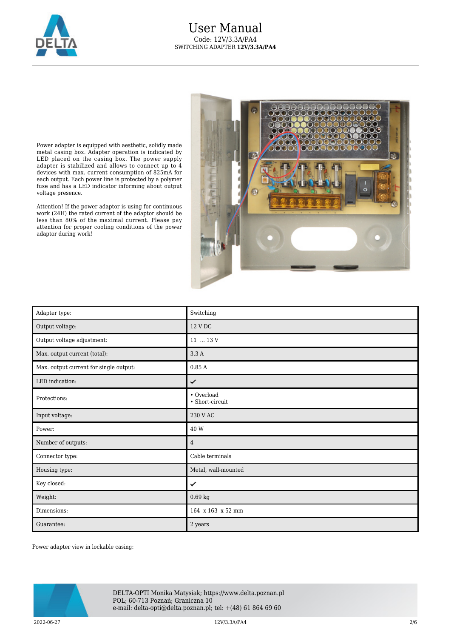

Power adapter is equipped with aesthetic, solidly made metal casing box. Adapter operation is indicated by LED placed on the casing box. The power supply adapter is stabilized and allows to connect up to 4 devices with max. current consumption of 825mA for each output. Each power line is protected by a polymer fuse and has a LED indicator informing about output voltage presence.

Attention! If the power adaptor is using for continuous work (24H) the rated current of the adaptor should be less than 80% of the maximal current. Please pay attention for proper cooling conditions of the power adaptor during work!



| Adapter type:                          | Switching                     |
|----------------------------------------|-------------------------------|
| Output voltage:                        | 12 V DC                       |
| Output voltage adjustment:             | $11\; \dots 13$ V             |
| Max. output current (total):           | 3.3A                          |
| Max. output current for single output: | 0.85A                         |
| LED indication:                        | ✓                             |
| Protections:                           | • Overload<br>• Short-circuit |
| Input voltage:                         | 230 V AC                      |
| Power:                                 | 40 W                          |
| Number of outputs:                     | 4                             |
| Connector type:                        | Cable terminals               |
| Housing type:                          | Metal, wall-mounted           |
| Key closed:                            | ✓                             |
| Weight:                                | $0.69$ kg                     |
| Dimensions:                            | 164 x 163 x 52 mm             |
| Guarantee:                             | 2 years                       |

Power adapter view in lockable casing:



DELTA-OPTI Monika Matysiak; https://www.delta.poznan.pl POL; 60-713 Poznań; Graniczna 10 e-mail: delta-opti@delta.poznan.pl; tel: +(48) 61 864 69 60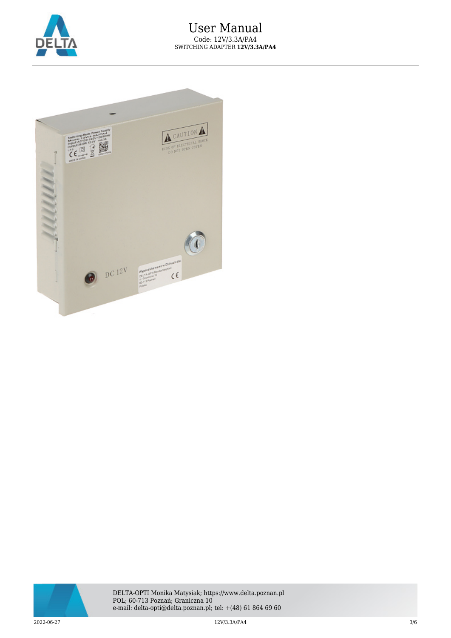





 $2022$ -06-27  $3/6$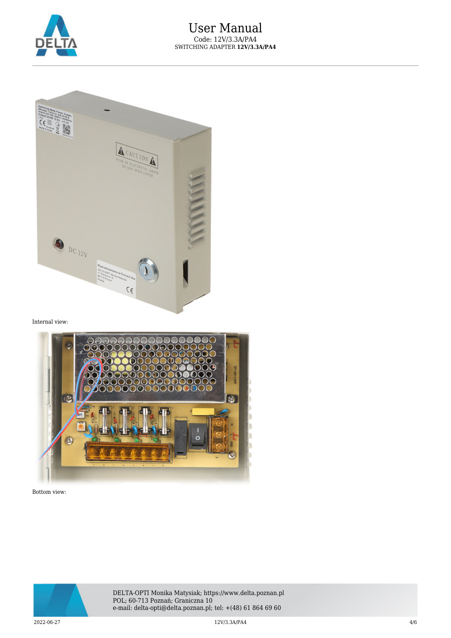



Internal view:



Bottom view:



DELTA-OPTI Monika Matysiak; https://www.delta.poznan.pl POL; 60-713 Poznań; Graniczna 10 e-mail: delta-opti@delta.poznan.pl; tel: +(48) 61 864 69 60

 $2022$ -06-27  $4/6$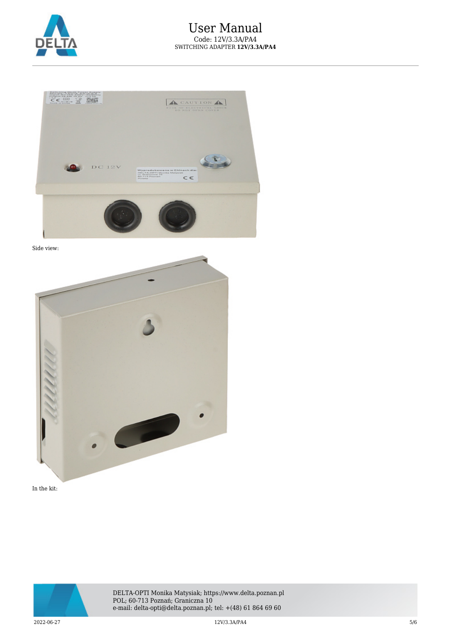



Side view:



In the kit: